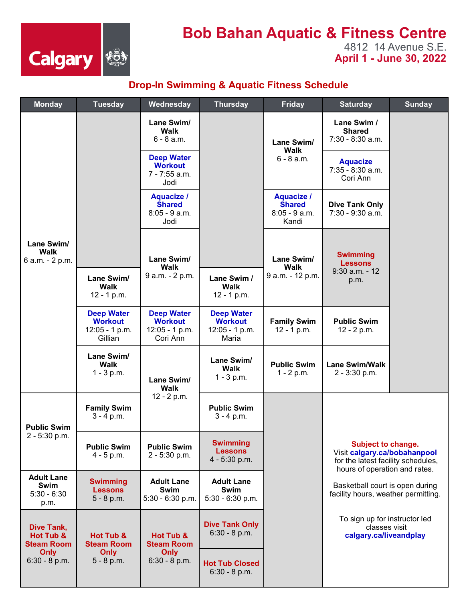

## **Bob Bahan Aquatic & Fitness Centre**

4812 14 Avenue S.E. **April 1 - June 30, 2022** 

## **Drop-In Swimming & Aquatic Fitness Schedule**

| <b>Monday</b>                                                         | <b>Tuesday</b>                                                     | Wednesday                                                         | <b>Thursday</b>                                                | <b>Friday</b>                                                  | <b>Saturday</b>                                                                                                                                                                                                                                                                 | <b>Sunday</b> |
|-----------------------------------------------------------------------|--------------------------------------------------------------------|-------------------------------------------------------------------|----------------------------------------------------------------|----------------------------------------------------------------|---------------------------------------------------------------------------------------------------------------------------------------------------------------------------------------------------------------------------------------------------------------------------------|---------------|
| Lane Swim/<br><b>Walk</b><br>6 a.m. - 2 p.m.                          |                                                                    | Lane Swim/<br><b>Walk</b><br>$6 - 8$ a.m.                         |                                                                | Lane Swim/<br>Walk<br>$6 - 8$ a.m.                             | Lane Swim /<br><b>Shared</b><br>7:30 - 8:30 a.m.                                                                                                                                                                                                                                |               |
|                                                                       |                                                                    | <b>Deep Water</b><br><b>Workout</b><br>7 - 7:55 a.m.<br>Jodi      |                                                                |                                                                | <b>Aquacize</b><br>$7:35 - 8:30$ a.m.<br>Cori Ann                                                                                                                                                                                                                               |               |
|                                                                       |                                                                    | <b>Aquacize /</b><br><b>Shared</b><br>$8:05 - 9$ a.m.<br>Jodi     |                                                                | <b>Aquacize /</b><br><b>Shared</b><br>$8:05 - 9$ a.m.<br>Kandi | <b>Dive Tank Only</b><br>7:30 - 9:30 a.m.                                                                                                                                                                                                                                       |               |
|                                                                       |                                                                    | Lane Swim/<br><b>Walk</b>                                         |                                                                | Lane Swim/<br>Walk                                             | <b>Swimming</b><br><b>Lessons</b><br>$9:30$ a.m. - 12                                                                                                                                                                                                                           |               |
|                                                                       | Lane Swim/<br>Walk<br>12 - 1 p.m.                                  | 9 a.m. - 2 p.m.                                                   | Lane Swim /<br>Walk<br>12 - 1 p.m.                             | 9 a.m. - 12 p.m.                                               | p.m.                                                                                                                                                                                                                                                                            |               |
|                                                                       | <b>Deep Water</b><br><b>Workout</b><br>$12:05 - 1 p.m.$<br>Gillian | <b>Deep Water</b><br><b>Workout</b><br>12:05 - 1 p.m.<br>Cori Ann | <b>Deep Water</b><br><b>Workout</b><br>12:05 - 1 p.m.<br>Maria | <b>Family Swim</b><br>12 - 1 p.m.                              | <b>Public Swim</b><br>12 - 2 p.m.                                                                                                                                                                                                                                               |               |
|                                                                       | Lane Swim/<br>Walk<br>$1 - 3 p.m.$                                 | Lane Swim/<br>Walk                                                | Lane Swim/<br>Walk<br>$1 - 3 p.m.$                             | <b>Public Swim</b><br>$1 - 2 p.m.$                             | <b>Lane Swim/Walk</b><br>2 - 3:30 p.m.                                                                                                                                                                                                                                          |               |
| <b>Public Swim</b><br>2 - 5:30 p.m.                                   | <b>Family Swim</b><br>$3 - 4 p.m.$                                 | 12 - 2 p.m.                                                       | <b>Public Swim</b><br>$3 - 4 p.m.$                             |                                                                |                                                                                                                                                                                                                                                                                 |               |
|                                                                       | <b>Public Swim</b><br>$4 - 5 p.m.$                                 | <b>Public Swim</b><br>2 - 5:30 p.m.                               | <b>Swimming</b><br><b>Lessons</b><br>4 - 5:30 p.m.             |                                                                | Subject to change.<br>Visit calgary.ca/bobahanpool<br>for the latest facility schedules,<br>hours of operation and rates.<br>Basketball court is open during<br>facility hours, weather permitting.<br>To sign up for instructor led<br>classes visit<br>calgary.ca/liveandplay |               |
| <b>Adult Lane</b><br>Swim<br>$5:30 - 6:30$<br>p.m.                    | <b>Swimming</b><br><b>Lessons</b><br>$5 - 8 p.m.$                  | <b>Adult Lane</b><br>Swim<br>$5:30 - 6:30$ p.m.                   | <b>Adult Lane</b><br>Swim<br>$5:30 - 6:30$ p.m.                |                                                                |                                                                                                                                                                                                                                                                                 |               |
| Dive Tank,<br>Hot Tub &<br><b>Steam Room</b><br>Only<br>6:30 - 8 p.m. | Hot Tub &<br><b>Steam Room</b><br>Only<br>$5 - 8 p.m.$             | Hot Tub &<br><b>Steam Room</b><br>Only<br>$6:30 - 8 p.m.$         | <b>Dive Tank Only</b><br>$6:30 - 8 p.m.$                       |                                                                |                                                                                                                                                                                                                                                                                 |               |
|                                                                       |                                                                    |                                                                   | <b>Hot Tub Closed</b><br>$6:30 - 8 p.m.$                       |                                                                |                                                                                                                                                                                                                                                                                 |               |